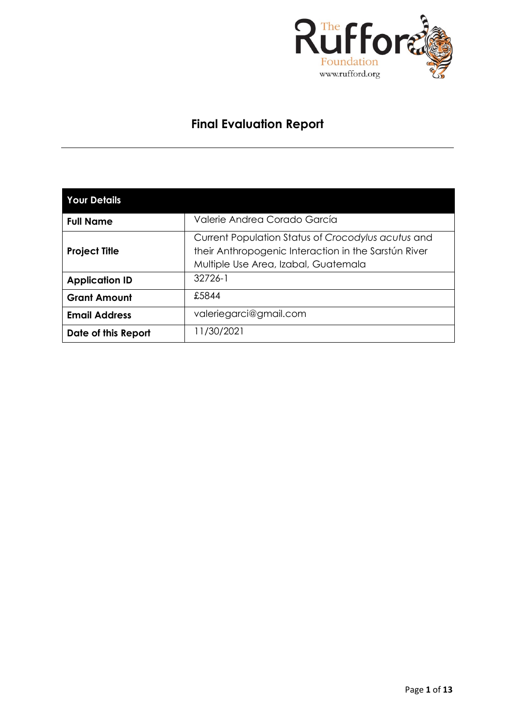

### **Final Evaluation Report**

| <b>Your Details</b>   |                                                                                                                                                    |  |  |  |  |  |
|-----------------------|----------------------------------------------------------------------------------------------------------------------------------------------------|--|--|--|--|--|
| <b>Full Name</b>      | Valerie Andrea Corado García                                                                                                                       |  |  |  |  |  |
| <b>Project Title</b>  | Current Population Status of Crocodylus acutus and<br>their Anthropogenic Interaction in the Sarstún River<br>Multiple Use Area, Izabal, Guatemala |  |  |  |  |  |
| <b>Application ID</b> | 32726-1                                                                                                                                            |  |  |  |  |  |
| <b>Grant Amount</b>   | £5844                                                                                                                                              |  |  |  |  |  |
| <b>Email Address</b>  | valeriegarci@gmail.com                                                                                                                             |  |  |  |  |  |
| Date of this Report   | 11/30/2021                                                                                                                                         |  |  |  |  |  |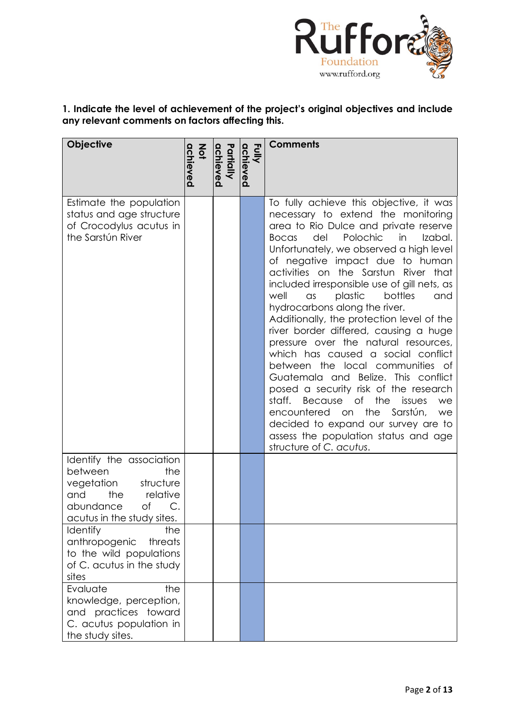

### **1. Indicate the level of achievement of the project's original objectives and include any relevant comments on factors affecting this.**

| Objective                                                                                                                                                                    | achieved<br>$rac{2}{9}$ | Partially<br>achieved | Fully<br>achieved | <b>Comments</b>                                                                                                                                                                                                                                                                                                                                                                                                                                                                                                                                                                                                                                                                                                                                                                                                                                                                                                                       |
|------------------------------------------------------------------------------------------------------------------------------------------------------------------------------|-------------------------|-----------------------|-------------------|---------------------------------------------------------------------------------------------------------------------------------------------------------------------------------------------------------------------------------------------------------------------------------------------------------------------------------------------------------------------------------------------------------------------------------------------------------------------------------------------------------------------------------------------------------------------------------------------------------------------------------------------------------------------------------------------------------------------------------------------------------------------------------------------------------------------------------------------------------------------------------------------------------------------------------------|
| Estimate the population<br>status and age structure<br>of Crocodylus acutus in<br>the Sarstún River                                                                          |                         |                       |                   | To fully achieve this objective, it was<br>necessary to extend the monitoring<br>area to Rio Dulce and private reserve<br>Polochic<br>in<br>del<br>Izabal.<br><b>Bocas</b><br>Unfortunately, we observed a high level<br>of negative impact due to human<br>activities on the Sarstun River that<br>included irresponsible use of gill nets, as<br>well<br>plastic<br>bottles<br>and<br>$\alpha$ s<br>hydrocarbons along the river.<br>Additionally, the protection level of the<br>river border differed, causing a huge<br>pressure over the natural resources,<br>which has caused a social conflict<br>between the local communities of<br>Guatemala and Belize. This conflict<br>posed a security risk of the research<br>staff.<br>the<br>Because<br>Оf<br>issues<br>we<br>the<br>encountered<br>Sarstún,<br>on<br>we<br>decided to expand our survey are to<br>assess the population status and age<br>structure of C. acutus. |
| Identify the association<br>between<br>the<br>structure<br>vegetation<br>the<br>relative<br>and<br>abundance<br>of<br>$C$ .<br>acutus in the study sites.<br>Identify<br>the |                         |                       |                   |                                                                                                                                                                                                                                                                                                                                                                                                                                                                                                                                                                                                                                                                                                                                                                                                                                                                                                                                       |
| anthropogenic<br>threats<br>to the wild populations<br>of C. acutus in the study<br>sites                                                                                    |                         |                       |                   |                                                                                                                                                                                                                                                                                                                                                                                                                                                                                                                                                                                                                                                                                                                                                                                                                                                                                                                                       |
| Evaluate<br>the<br>knowledge, perception,<br>and practices toward<br>C. acutus population in<br>the study sites.                                                             |                         |                       |                   |                                                                                                                                                                                                                                                                                                                                                                                                                                                                                                                                                                                                                                                                                                                                                                                                                                                                                                                                       |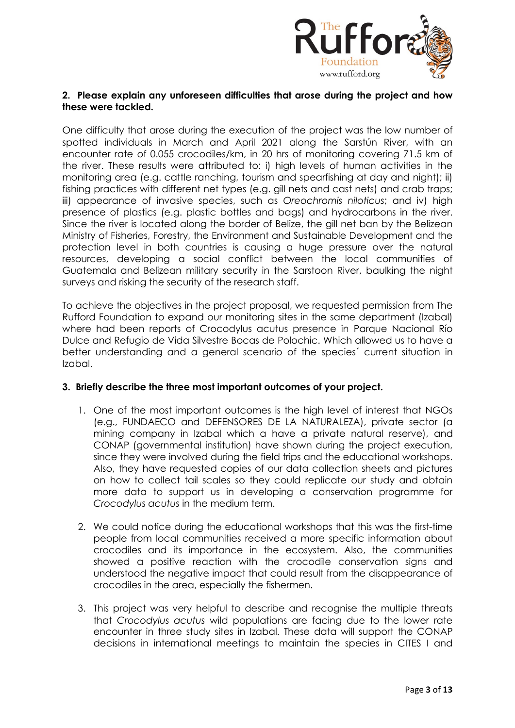

#### **2. Please explain any unforeseen difficulties that arose during the project and how these were tackled.**

One difficulty that arose during the execution of the project was the low number of spotted individuals in March and April 2021 along the Sarstún River, with an encounter rate of 0.055 crocodiles/km, in 20 hrs of monitoring covering 71.5 km of the river. These results were attributed to: i) high levels of human activities in the monitoring area (e.g. cattle ranching, tourism and spearfishing at day and night); ii) fishing practices with different net types (e.g. gill nets and cast nets) and crab traps; iii) appearance of invasive species, such as *Oreochromis niloticus*; and iv) high presence of plastics (e.g. plastic bottles and bags) and hydrocarbons in the river. Since the river is located along the border of Belize, the gill net ban by the Belizean Ministry of Fisheries, Forestry, the Environment and Sustainable Development and the protection level in both countries is causing a huge pressure over the natural resources, developing a social conflict between the local communities of Guatemala and Belizean military security in the Sarstoon River, baulking the night surveys and risking the security of the research staff.

To achieve the objectives in the project proposal, we requested permission from The Rufford Foundation to expand our monitoring sites in the same department (Izabal) where had been reports of Crocodylus acutus presence in Parque Nacional Río Dulce and Refugio de Vida Silvestre Bocas de Polochic. Which allowed us to have a better understanding and a general scenario of the species´ current situation in Izabal.

#### **3. Briefly describe the three most important outcomes of your project.**

- 1. One of the most important outcomes is the high level of interest that NGOs (e.g., FUNDAECO and DEFENSORES DE LA NATURALEZA), private sector (a mining company in Izabal which a have a private natural reserve), and CONAP (governmental institution) have shown during the project execution, since they were involved during the field trips and the educational workshops. Also, they have requested copies of our data collection sheets and pictures on how to collect tail scales so they could replicate our study and obtain more data to support us in developing a conservation programme for *Crocodylus acutus* in the medium term.
- 2. We could notice during the educational workshops that this was the first-time people from local communities received a more specific information about crocodiles and its importance in the ecosystem. Also, the communities showed a positive reaction with the crocodile conservation signs and understood the negative impact that could result from the disappearance of crocodiles in the area, especially the fishermen.
- 3. This project was very helpful to describe and recognise the multiple threats that *Crocodylus acutus* wild populations are facing due to the lower rate encounter in three study sites in Izabal. These data will support the CONAP decisions in international meetings to maintain the species in CITES I and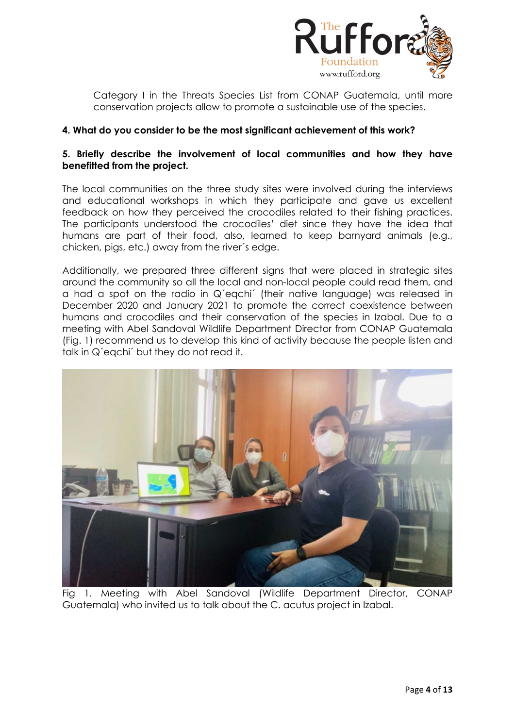

Category I in the Threats Species List from CONAP Guatemala, until more conservation projects allow to promote a sustainable use of the species.

#### **4. What do you consider to be the most significant achievement of this work?**

#### **5. Briefly describe the involvement of local communities and how they have benefitted from the project.**

The local communities on the three study sites were involved during the interviews and educational workshops in which they participate and gave us excellent feedback on how they perceived the crocodiles related to their fishing practices. The participants understood the crocodiles' diet since they have the idea that humans are part of their food, also, learned to keep barnyard animals (e.g., chicken, pigs, etc.) away from the river´s edge.

Additionally, we prepared three different sians that were placed in strategic sites around the community so all the local and non-local people could read them, and a had a spot on the radio in Q´eqchi´ (their native language) was released in December 2020 and January 2021 to promote the correct coexistence between humans and crocodiles and their conservation of the species in Izabal. Due to a meeting with Abel Sandoval Wildlife Department Director from CONAP Guatemala (Fig. 1) recommend us to develop this kind of activity because the people listen and talk in Q´eqchi´ but they do not read it.



Fig 1. Meeting with Abel Sandoval (Wildlife Department Director, CONAP Guatemala) who invited us to talk about the C. acutus project in Izabal.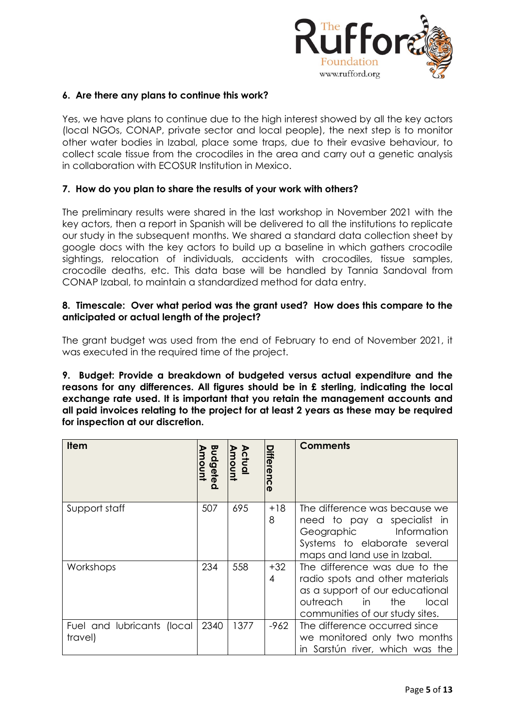

#### **6. Are there any plans to continue this work?**

Yes, we have plans to continue due to the high interest showed by all the key actors (local NGOs, CONAP, private sector and local people), the next step is to monitor other water bodies in Izabal, place some traps, due to their evasive behaviour, to collect scale tissue from the crocodiles in the area and carry out a genetic analysis in collaboration with ECOSUR Institution in Mexico.

#### **7. How do you plan to share the results of your work with others?**

The preliminary results were shared in the last workshop in November 2021 with the key actors, then a report in Spanish will be delivered to all the institutions to replicate our study in the subsequent months. We shared a standard data collection sheet by google docs with the key actors to build up a baseline in which gathers crocodile sightings, relocation of individuals, accidents with crocodiles, tissue samples, crocodile deaths, etc. This data base will be handled by Tannia Sandoval from CONAP Izabal, to maintain a standardized method for data entry.

#### **8. Timescale: Over what period was the grant used? How does this compare to the anticipated or actual length of the project?**

The grant budget was used from the end of February to end of November 2021, it was executed in the required time of the project.

**9. Budget: Provide a breakdown of budgeted versus actual expenditure and the reasons for any differences. All figures should be in £ sterling, indicating the local exchange rate used. It is important that you retain the management accounts and all paid invoices relating to the project for at least 2 years as these may be required for inspection at our discretion.**

| <b>Item</b>                           | Budgeted<br>moun | <b>Actual</b><br>Amount | Differenc  | <b>Comments</b>                                                                                                                                                            |
|---------------------------------------|------------------|-------------------------|------------|----------------------------------------------------------------------------------------------------------------------------------------------------------------------------|
| Support staff                         | 507              | 695                     | $+18$<br>8 | The difference was because we<br>need to pay a specialist in<br>Geographic Information<br>Systems to elaborate several<br>maps and land use in Izabal.                     |
| Workshops                             | 234              | 558                     | $+32$<br>4 | The difference was due to the<br>radio spots and other materials<br>as a support of our educational<br>outreach<br>in i<br>the<br>local<br>communities of our study sites. |
| Fuel and lubricants (local<br>travel) | 2340             | 1377                    | $-962$     | The difference occurred since<br>we monitored only two months<br>in Sarstún river, which was the                                                                           |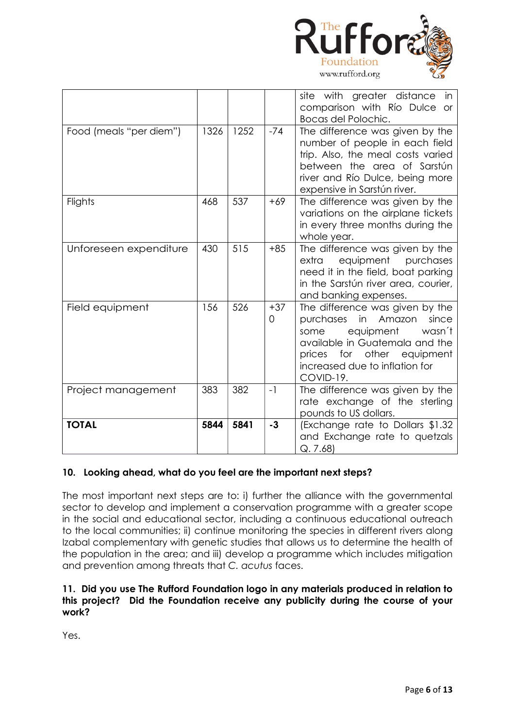

|                         |      |      |                         | site with greater distance in<br>comparison with Río Dulce<br><b>or</b><br>Bocas del Polochic.                                                                                                                         |
|-------------------------|------|------|-------------------------|------------------------------------------------------------------------------------------------------------------------------------------------------------------------------------------------------------------------|
| Food (meals "per diem") | 1326 | 1252 | $-74$                   | The difference was given by the<br>number of people in each field<br>trip. Also, the meal costs varied<br>between the area of Sarstún<br>river and Río Dulce, being more<br>expensive in Sarstún river.                |
| Flights                 | 468  | 537  | $+69$                   | The difference was given by the<br>variations on the airplane tickets<br>in every three months during the<br>whole year.                                                                                               |
| Unforeseen expenditure  | 430  | 515  | $+85$                   | The difference was given by the<br>equipment<br>extra<br>purchases<br>need it in the field, boat parking<br>in the Sarstún river area, courier,<br>and banking expenses.                                               |
| Field equipment         | 156  | 526  | $+37$<br>$\overline{0}$ | The difference was given by the<br>in<br>Amazon<br>since<br>purchases<br>equipment<br>wasn't<br>some<br>available in Guatemala and the<br>for other equipment<br>prices<br>increased due to inflation for<br>COVID-19. |
| Project management      | 383  | 382  | $-1$                    | The difference was given by the<br>rate exchange of the sterling<br>pounds to US dollars.                                                                                                                              |
| <b>TOTAL</b>            | 5844 | 5841 | $-3$                    | (Exchange rate to Dollars \$1.32)<br>and Exchange rate to quetzals<br>Q.7.68                                                                                                                                           |

#### **10. Looking ahead, what do you feel are the important next steps?**

The most important next steps are to: i) further the alliance with the governmental sector to develop and implement a conservation programme with a greater scope in the social and educational sector, including a continuous educational outreach to the local communities; ii) continue monitoring the species in different rivers along Izabal complementary with genetic studies that allows us to determine the health of the population in the area; and iii) develop a programme which includes mitigation and prevention among threats that *C. acutus* faces.

#### **11. Did you use The Rufford Foundation logo in any materials produced in relation to this project? Did the Foundation receive any publicity during the course of your work?**

Yes.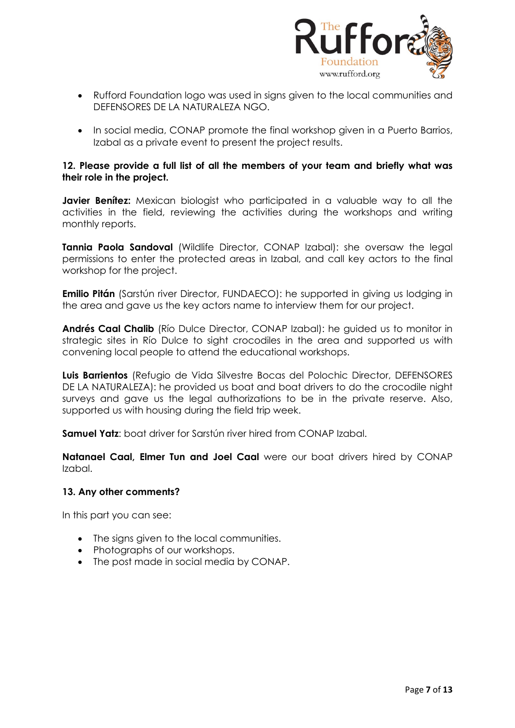

- Rufford Foundation logo was used in signs given to the local communities and DEFENSORES DE LA NATURALEZA NGO.
- In social media, CONAP promote the final workshop given in a Puerto Barrios, Izabal as a private event to present the project results.

#### **12. Please provide a full list of all the members of your team and briefly what was their role in the project.**

**Javier Benítez:** Mexican biologist who participated in a valuable way to all the activities in the field, reviewing the activities during the workshops and writing monthly reports.

**Tannia Paola Sandoval** (Wildlife Director, CONAP Izabal): she oversaw the legal permissions to enter the protected areas in Izabal, and call key actors to the final workshop for the project.

**Emilio Pitán** (Sarstún river Director, FUNDAECO): he supported in giving us lodging in the area and gave us the key actors name to interview them for our project.

**Andrés Caal Chalib** (Río Dulce Director, CONAP Izabal): he guided us to monitor in strategic sites in Río Dulce to sight crocodiles in the area and supported us with convening local people to attend the educational workshops.

**Luis Barrientos** (Refugio de Vida Silvestre Bocas del Polochic Director, DEFENSORES DE LA NATURALEZA): he provided us boat and boat drivers to do the crocodile night surveys and gave us the legal authorizations to be in the private reserve. Also, supported us with housing during the field trip week.

**Samuel Yatz:** boat driver for Sarstún river hired from CONAP Izabal.

**Natanael Caal, Elmer Tun and Joel Caal** were our boat drivers hired by CONAP Izabal.

#### **13. Any other comments?**

In this part you can see:

- The signs given to the local communities.
- Photographs of our workshops.
- The post made in social media by CONAP.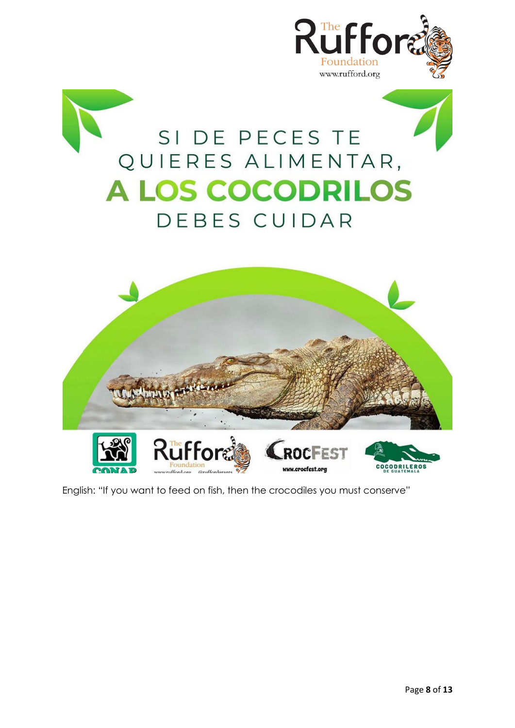

English: "If you want to feed on fish, then the crocodiles you must conserve"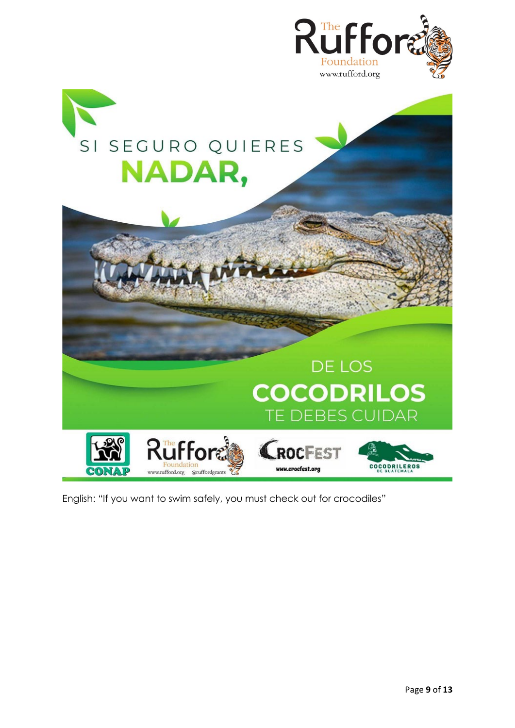

# SI SEGURO QUIERES **NADAR,**



English: "If you want to swim safely, you must check out for crocodiles"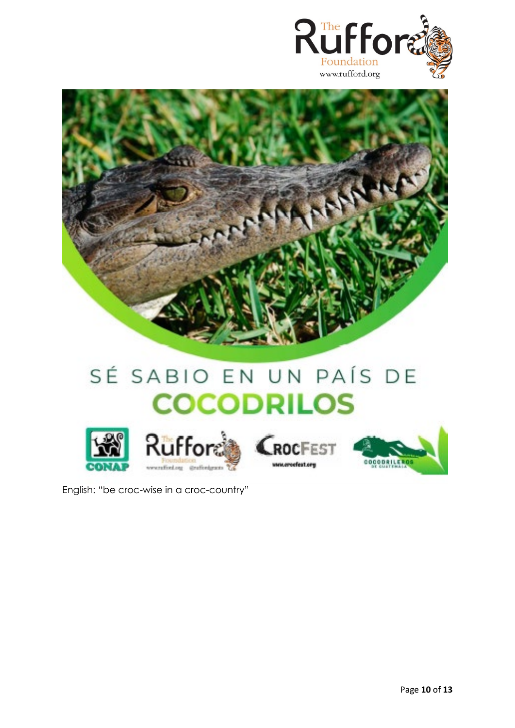



## SÉ SABIO EN UN PAÍS DE **COCODRILOS**





English: "be croc-wise in a croc-country"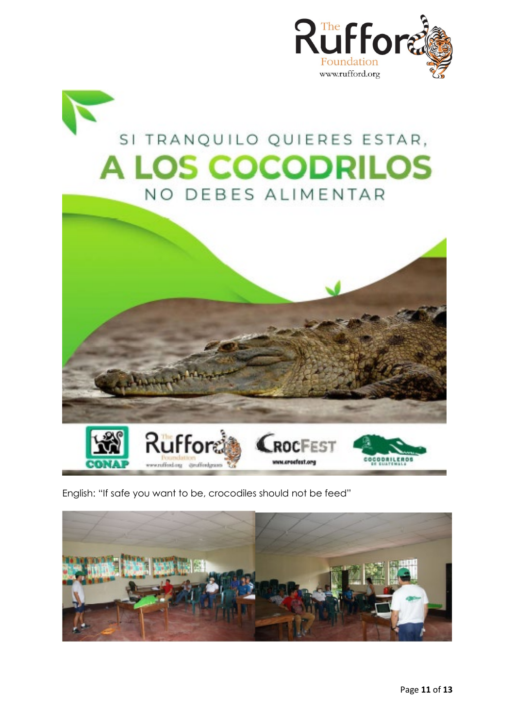

### SI TRANQUILO QUIERES ESTAR, **A LOS COCODRILOS** NO DEBES ALIMENTAR



English: "If safe you want to be, crocodiles should not be feed"

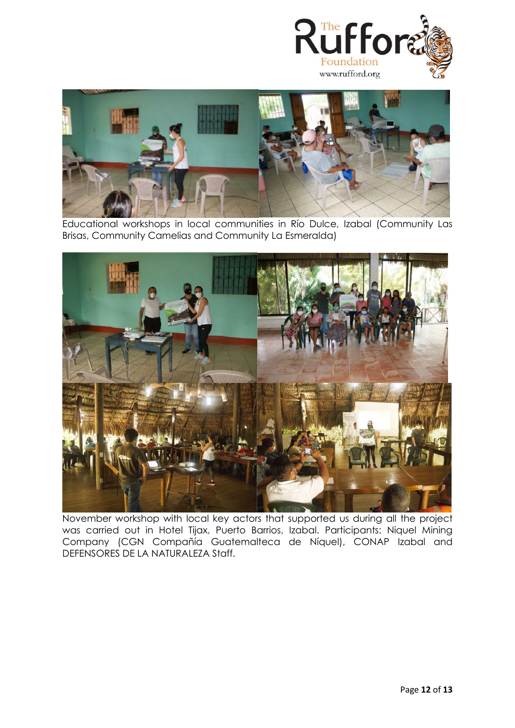



Educational workshops in local communities in Río Dulce, Izabal (Community Las Brisas, Community Camelias and Community La Esmeralda)



November workshop with local key actors that supported us during all the project was carried out in Hotel Tijax, Puerto Barrios, Izabal. Participants: Niquel Mining Company (CGN Compañía Guatemalteca de Níquel), CONAP Izabal and DEFENSORES DE LA NATURALEZA Staff.